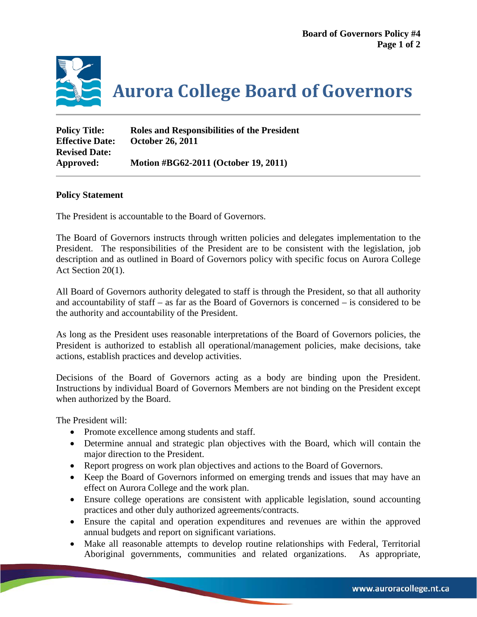

**Aurora College Board of Governors**

| <b>Policy Title:</b>   | Roles and Responsibilities of the President |
|------------------------|---------------------------------------------|
| <b>Effective Date:</b> | <b>October 26, 2011</b>                     |
| <b>Revised Date:</b>   |                                             |
| Approved:              | Motion #BG62-2011 (October 19, 2011)        |

## **Policy Statement**

The President is accountable to the Board of Governors.

The Board of Governors instructs through written policies and delegates implementation to the President. The responsibilities of the President are to be consistent with the legislation, job description and as outlined in Board of Governors policy with specific focus on Aurora College Act Section 20(1).

All Board of Governors authority delegated to staff is through the President, so that all authority and accountability of staff – as far as the Board of Governors is concerned – is considered to be the authority and accountability of the President.

As long as the President uses reasonable interpretations of the Board of Governors policies, the President is authorized to establish all operational/management policies, make decisions, take actions, establish practices and develop activities.

Decisions of the Board of Governors acting as a body are binding upon the President. Instructions by individual Board of Governors Members are not binding on the President except when authorized by the Board.

The President will:

- Promote excellence among students and staff.
- Determine annual and strategic plan objectives with the Board, which will contain the major direction to the President.
- Report progress on work plan objectives and actions to the Board of Governors.
- Keep the Board of Governors informed on emerging trends and issues that may have an effect on Aurora College and the work plan.
- Ensure college operations are consistent with applicable legislation, sound accounting practices and other duly authorized agreements/contracts.
- Ensure the capital and operation expenditures and revenues are within the approved annual budgets and report on significant variations.
- Make all reasonable attempts to develop routine relationships with Federal, Territorial Aboriginal governments, communities and related organizations. As appropriate,